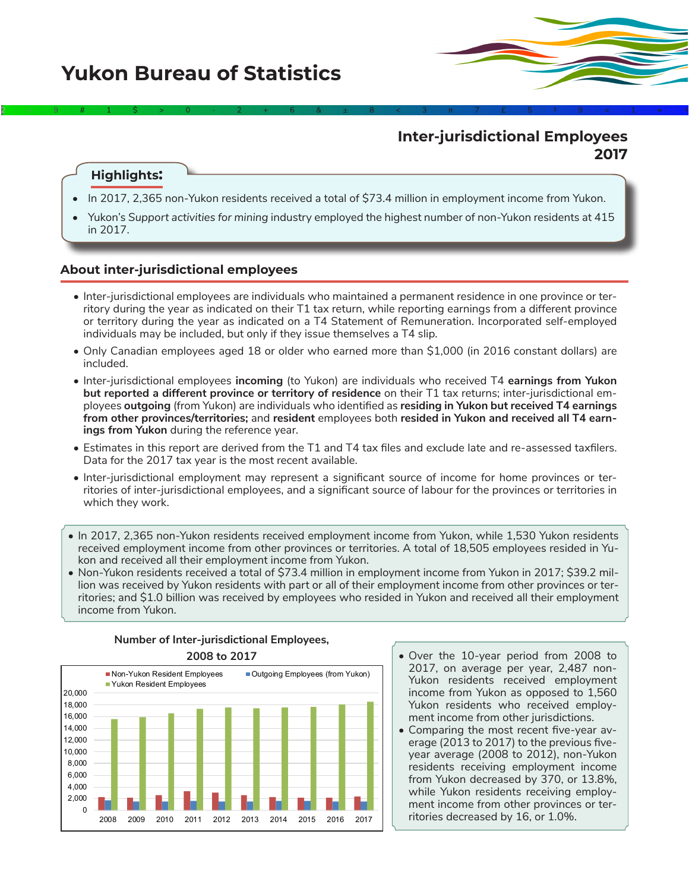# **Inter-jurisdictional Employees 2017**

### **Highlights:**

• In 2017, 2,365 non-Yukon residents received a total of \$73.4 million in employment income from Yukon.

2÷9#1\$>0-2+6&±8<3π7£5‡9≈1∞^

• Yukon's *Support activities for mining* industry employed the highest number of non-Yukon residents at 415 in 2017.

### **About inter-jurisdictional employees**

- Inter-jurisdictional employees are individuals who maintained a permanent residence in one province or territory during the year as indicated on their T1 tax return, while reporting earnings from a different province or territory during the year as indicated on a T4 Statement of Remuneration. Incorporated self-employed individuals may be included, but only if they issue themselves a T4 slip.
- Only Canadian employees aged 18 or older who earned more than \$1,000 (in 2016 constant dollars) are included.
- Inter-jurisdictional employees **incoming** (to Yukon) are individuals who received T4 **earnings from Yukon but reported a different province or territory of residence** on their T1 tax returns; inter-jurisdictional employees **outgoing** (from Yukon) are individuals who identified as **residing in Yukon but received T4 earnings from other provinces/territories;** and **resident** employees both **resided in Yukon and received all T4 earnings from Yukon** during the reference year.
- Estimates in this report are derived from the T1 and T4 tax files and exclude late and re-assessed taxfilers. Data for the 2017 tax year is the most recent available.
- Inter-jurisdictional employment may represent a significant source of income for home provinces or territories of inter-jurisdictional employees, and a significant source of labour for the provinces or territories in which they work.
- In 2017, 2,365 non-Yukon residents received employment income from Yukon, while 1,530 Yukon residents received employment income from other provinces or territories. A total of 18,505 employees resided in Yukon and received all their employment income from Yukon.
- Non-Yukon residents received a total of \$73.4 million in employment income from Yukon in 2017; \$39.2 million was received by Yukon residents with part or all of their employment income from other provinces or territories; and \$1.0 billion was received by employees who resided in Yukon and received all their employment income from Yukon.



# **Number of Inter-jurisdictional Employees,**

- Over the 10-year period from 2008 to 2017, on average per year, 2,487 non-Yukon residents received employment income from Yukon as opposed to 1,560 Yukon residents who received employment income from other jurisdictions.
- Comparing the most recent five-year average (2013 to 2017) to the previous fiveyear average (2008 to 2012), non-Yukon residents receiving employment income from Yukon decreased by 370, or 13.8%, while Yukon residents receiving employment income from other provinces or territories decreased by 16, or 1.0%.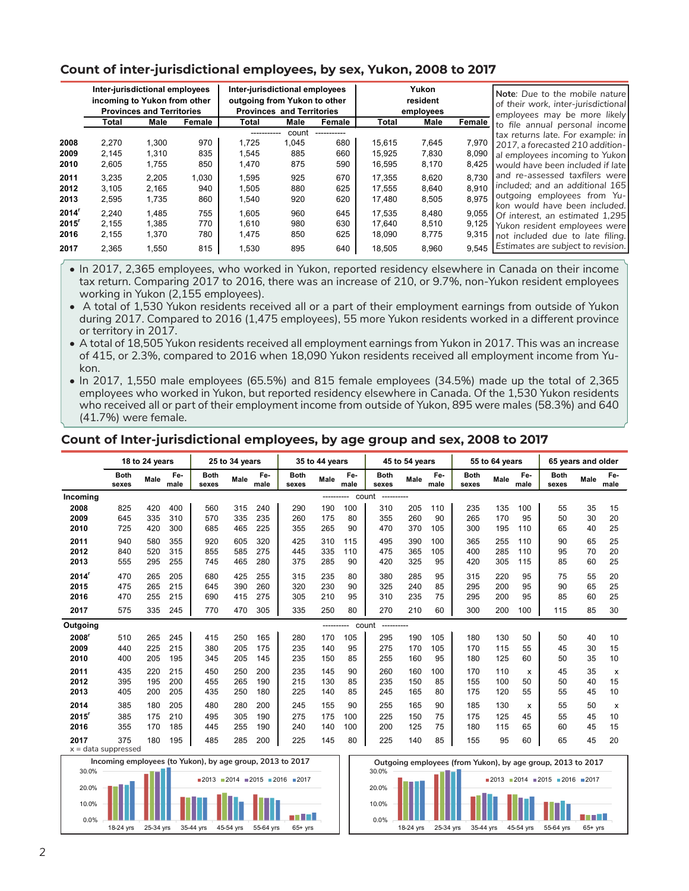# **Count of inter-jurisdictional employees, by sex, Yukon, 2008 to 2017**

|                                              |                                  | Inter-jurisdictional employees<br>incoming to Yukon from other<br><b>Provinces and Territories</b> |                          | Inter-jurisdictional employees<br>outgoing from Yukon to other<br><b>Provinces and Territories</b><br>Male<br>Female<br>Total |                              |                          | Yukon<br>resident<br>employees<br>Male<br>Total |                                  |                                  | Note: Due to the mobile nature<br>of their work, inter-jurisdictional<br>employees may be more likely                                       |
|----------------------------------------------|----------------------------------|----------------------------------------------------------------------------------------------------|--------------------------|-------------------------------------------------------------------------------------------------------------------------------|------------------------------|--------------------------|-------------------------------------------------|----------------------------------|----------------------------------|---------------------------------------------------------------------------------------------------------------------------------------------|
|                                              | Total                            | Male                                                                                               | Female                   |                                                                                                                               |                              |                          |                                                 |                                  | Female                           | to file annual personal income                                                                                                              |
| 2008<br>2009<br>2010                         | 2.270<br>2,145<br>2.605          | 1.300<br>1,310<br>1.755                                                                            | 970<br>835<br>850        | 1.725<br>1.545<br>1.470                                                                                                       | count<br>1,045<br>885<br>875 | 680<br>660<br>590        | 15.615<br>15.925<br>16.595                      | 7,645<br>7,830<br>8,170          | 7,970<br>8,090<br>8,425          | tax returns late. For example: in<br>2017, a forecasted 210 addition-<br>al employees incoming to Yukon<br>would have been included if late |
| 2011<br>2012<br>2013                         | 3,235<br>3.105<br>2,595          | 2.205<br>2,165<br>1,735                                                                            | 1,030<br>940<br>860      | 1.595<br>1,505<br>1,540                                                                                                       | 925<br>880<br>920            | 670<br>625<br>620        | 17.355<br>17.555<br>17,480                      | 8,620<br>8,640<br>8,505          | 8.730<br>8.910<br>8.975          | and re-assessed taxfilers were<br>included; and an additional 165<br>outgoing employees from Yu-<br>kon would have been included.           |
| 2014'<br>$2015$ <sup>r</sup><br>2016<br>2017 | 2,240<br>2,155<br>2,155<br>2.365 | 1,485<br>1,385<br>1.370<br>1,550                                                                   | 755<br>770<br>780<br>815 | 1,605<br>1.610<br>1.475<br>1,530                                                                                              | 960<br>980<br>850<br>895     | 645<br>630<br>625<br>640 | 17,535<br>17.640<br>18.090<br>18.505            | 8,480<br>8,510<br>8,775<br>8.960 | 9,055<br>9,125<br>9,315<br>9.545 | Of interest, an estimated 1,295<br>Yukon resident employees were<br>not included due to late filing.<br>Estimates are subject to revision.  |

• In 2017, 2,365 employees, who worked in Yukon, reported residency elsewhere in Canada on their income tax return. Comparing 2017 to 2016, there was an increase of 210, or 9.7%, non-Yukon resident employees working in Yukon (2,155 employees).

• A total of 1,530 Yukon residents received all or a part of their employment earnings from outside of Yukon during 2017. Compared to 2016 (1,475 employees), 55 more Yukon residents worked in a different province or territory in 2017.

• A total of 18,505 Yukon residents received all employment earnings from Yukon in 2017. This was an increase of 415, or 2.3%, compared to 2016 when 18,090 Yukon residents received all employment income from Yukon.

• In 2017, 1,550 male employees (65.5%) and 815 female employees (34.5%) made up the total of 2,365 employees who worked in Yukon, but reported residency elsewhere in Canada. Of the 1,530 Yukon residents who received all or part of their employment income from outside of Yukon, 895 were males (58.3%) and 640 (41.7%) were female.

### **Count of Inter-jurisdictional employees, by age group and sex, 2008 to 2017**

|                               |                      | 18 to 24 years |             |                                                          | 25 to 34 years |             |                      | 35 to 44 years |             |                      | 45 to 54 years |             |                      | 55 to 64 years |             |                                                             | 65 years and older |                           |  |  |
|-------------------------------|----------------------|----------------|-------------|----------------------------------------------------------|----------------|-------------|----------------------|----------------|-------------|----------------------|----------------|-------------|----------------------|----------------|-------------|-------------------------------------------------------------|--------------------|---------------------------|--|--|
|                               | <b>Both</b><br>sexes | Male           | Fe-<br>male | <b>Both</b><br>sexes                                     | Male           | Fe-<br>male | <b>Both</b><br>sexes | Male           | Fe-<br>male | <b>Both</b><br>sexes | Male           | Fe-<br>male | <b>Both</b><br>sexes | Male           | Fe-<br>male | <b>Both</b><br>sexes                                        | Male               | Fe-<br>male               |  |  |
| Incoming                      |                      |                |             |                                                          |                |             |                      | ------         |             | count<br>----------- |                |             |                      |                |             |                                                             |                    |                           |  |  |
| 2008                          | 825                  | 420            | 400         | 560                                                      | 315            | 240         | 290                  | 190            | 100         | 310                  | 205            | 110         | 235                  | 135            | 100         | 55                                                          | 35                 | 15                        |  |  |
| 2009                          | 645                  | 335            | 310         | 570                                                      | 335            | 235         | 260                  | 175            | 80          | 355                  | 260            | 90          | 265                  | 170            | 95          | 50                                                          | 30                 | 20                        |  |  |
| 2010                          | 725                  | 420            | 300         | 685                                                      | 465            | 225         | 355                  | 265            | 90          | 470                  | 370            | 105         | 300                  | 195            | 110         | 65                                                          | 40                 | 25                        |  |  |
| 2011                          | 940                  | 580            | 355         | 920                                                      | 605            | 320         | 425                  | 310            | 115         | 495                  | 390            | 100         | 365                  | 255            | 110         | 90                                                          | 65                 | 25                        |  |  |
| 2012                          | 840                  | 520            | 315         | 855                                                      | 585            | 275         | 445                  | 335            | 110         | 475                  | 365            | 105         | 400                  | 285            | 110         | 95                                                          | 70                 | 20                        |  |  |
| 2013                          | 555                  | 295            | 255         | 745                                                      | 465            | 280         | 375                  | 285            | 90          | 420                  | 325            | 95          | 420                  | 305            | 115         | 85                                                          | 60                 | 25                        |  |  |
| 2014                          | 470                  | 265            | 205         | 680                                                      | 425            | 255         | 315                  | 235            | 80          | 380                  | 285            | 95          | 315                  | 220            | 95          | 75                                                          | 55                 | 20                        |  |  |
| 2015                          | 475                  | 265            | 215         | 645                                                      | 390            | 260         | 320                  | 230            | 90          | 325                  | 240            | 85          | 295                  | 200            | 95          | 90                                                          | 65                 | 25                        |  |  |
| 2016                          | 470                  | 255            | 215         | 690                                                      | 415            | 275         | 305                  | 210            | 95          | 310                  | 235            | 75          | 295                  | 200            | 95          | 85                                                          | 60                 | 25                        |  |  |
| 2017                          | 575                  | 335            | 245         | 770                                                      | 470            | 305         | 335                  | 250            | 80          | 270                  | 210            | 60          | 300                  | 200            | 100         | 115                                                         | 85                 | 30                        |  |  |
| Outgoing                      |                      |                |             |                                                          |                |             |                      | ------         |             | count<br>            |                |             |                      |                |             |                                                             |                    |                           |  |  |
| 2008'                         | 510                  | 265            | 245         | 415                                                      | 250            | 165         | 280                  | 170            | 105         | 295                  | 190            | 105         | 180                  | 130            | 50          | 50                                                          | 40                 | 10                        |  |  |
| 2009                          | 440                  | 225            | 215         | 380                                                      | 205            | 175         | 235                  | 140            | 95          | 275                  | 170            | 105         | 170                  | 115            | 55          | 45                                                          | 30                 | 15                        |  |  |
| 2010                          | 400                  | 205            | 195         | 345                                                      | 205            | 145         | 235                  | 150            | 85          | 255                  | 160            | 95          | 180                  | 125            | 60          | 50                                                          | 35                 | 10                        |  |  |
| 2011                          | 435                  | 220            | 215         | 450                                                      | 250            | 200         | 235                  | 145            | 90          | 260                  | 160            | 100         | 170                  | 110            | X           | 45                                                          | 35                 | $\boldsymbol{\mathsf{x}}$ |  |  |
| 2012                          | 395                  | 195            | 200         | 455                                                      | 265            | 190         | 215                  | 130            | 85          | 235                  | 150            | 85          | 155                  | 100            | 50          | 50                                                          | 40                 | 15                        |  |  |
| 2013                          | 405                  | 200            | 205         | 435                                                      | 250            | 180         | 225                  | 140            | 85          | 245                  | 165            | 80          | 175                  | 120            | 55          | 55                                                          | 45                 | 10                        |  |  |
| 2014                          | 385                  | 180            | 205         | 480                                                      | 280            | 200         | 245                  | 155            | 90          | 255                  | 165            | 90          | 185                  | 130            | X           | 55                                                          | 50                 | $\boldsymbol{\mathsf{x}}$ |  |  |
| 2015'                         | 385                  | 175            | 210         | 495                                                      | 305            | 190         | 275                  | 175            | 100         | 225                  | 150            | 75          | 175                  | 125            | 45          | 55                                                          | 45                 | 10                        |  |  |
| 2016                          | 355                  | 170            | 185         | 445                                                      | 255            | 190         | 240                  | 140            | 100         | 200                  | 125            | 75          | 180                  | 115            | 65          | 60                                                          | 45                 | 15                        |  |  |
| 2017<br>$x =$ data suppressed | 375                  | 180            | 195         | 485                                                      | 285            | 200         | 225                  | 145            | 80          | 225                  | 140            | 85          | 155                  | 95             | 60          | 65                                                          | 45                 | 20                        |  |  |
|                               |                      |                |             | Incoming employees (to Yukon), by age group 2013 to 2017 |                |             |                      |                |             |                      |                |             |                      |                |             | Outsoing employees Ifrom Vulson), by 200 aroun 2012 to 2017 |                    |                           |  |  |



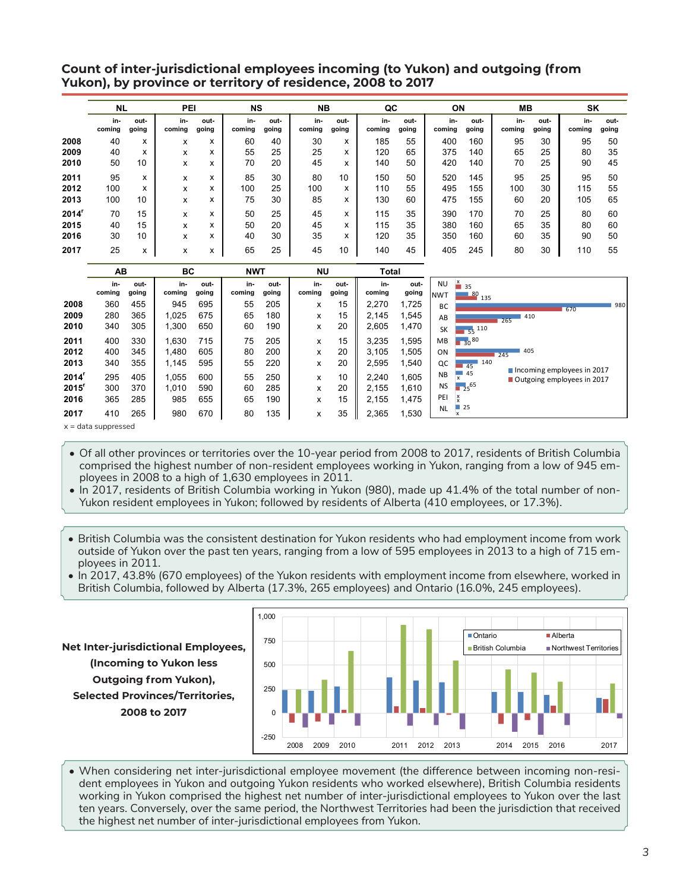## **Count of inter-jurisdictional employees incoming (to Yukon) and outgoing (from Yukon), by province or territory of residence, 2008 to 2017**

|       | <b>NL</b>     |               | PEI           |                   | <b>NS</b>     |               | <b>NB</b>     |               | QC            |               | ON            |               | MВ            |               | SK            |               |
|-------|---------------|---------------|---------------|-------------------|---------------|---------------|---------------|---------------|---------------|---------------|---------------|---------------|---------------|---------------|---------------|---------------|
|       | in-<br>coming | out-<br>going | in-<br>coming | out-<br>going     | in-<br>coming | out-<br>going | in-<br>coming | out-<br>going | in-<br>coming | out-<br>going | in-<br>coming | out-<br>going | in-<br>coming | out-<br>going | in-<br>coming | out-<br>going |
| 2008  | 40            | x             | x             | $\mathbf{v}$<br>^ | 60            | 40            | 30            | x             | 185           | 55            | 400           | 160           | 95            | 30            | 95            | 50            |
| 2009  | 40            | x             | x             | $\checkmark$<br>^ | 55            | 25            | 25            | x             | 120           | 65            | 375           | 140           | 65            | 25            | 80            | 35            |
| 2010  | 50            | 10            | x             | x                 | 70            | 20            | 45            | x             | 140           | 50            | 420           | 140           | 70            | 25            | 90            | 45            |
| 2011  | 95            | x             | x             | x                 | 85            | 30            | 80            | 10            | 150           | 50            | 520           | 145           | 95            | 25            | 95            | 50            |
| 2012  | 100           | x             | x             | x                 | 100           | 25            | 100           | x             | 110           | 55            | 495           | 155           | 100           | 30            | 115           | 55            |
| 2013  | 100           | 10            | x             | x                 | 75            | 30            | 85            | x             | 130           | 60            | 475           | 155           | 60            | 20            | 105           | 65            |
| 2014' | 70            | 15            | x             | x                 | 50            | 25            | 45            | x             | 115           | 35            | 390           | 170           | 70            | 25            | 80            | 60            |
| 2015  | 40            | 15            | x             | x                 | 50            | 20            | 45            | x             | 115           | 35            | 380           | 160           | 65            | 35            | 80            | 60            |
| 2016  | 30            | 10            | x             | x                 | 40            | 30            | 35            | x             | 120           | 35            | 350           | 160           | 60            | 35            | 90            | 50            |
| 2017  | 25            | x             | x             | x                 | 65            | 25            | 45            | 10            | 140           | 45            | 405           | 245           | 80            | 30            | 110           | 55            |

|                     | AВ                    |       | ВC     |       | <b>NWT</b> |       | <b>NU</b> |       | Total  |       |           |                    |                                                          |     |
|---------------------|-----------------------|-------|--------|-------|------------|-------|-----------|-------|--------|-------|-----------|--------------------|----------------------------------------------------------|-----|
|                     | in-                   | out-  | in-    | out-  | in-        | out-  | in-       | out-  | in-    | out-  | <b>NU</b> | $\frac{x}{1}$ 35   |                                                          |     |
|                     | coming                | going | coming | going | coming     | going | coming    | going | coming | going | Inwt      | $-80$ 135          |                                                          |     |
| 2008                | 360                   | 455   | 945    | 695   | 55         | 205   | x         | 15    | 2,270  | 1,725 | <b>BC</b> |                    | 670                                                      | 980 |
| 2009                | 280                   | 365   | 1,025  | 675   | 65         | 180   | x         | 15    | 2.145  | 1,545 | AB        |                    | 410<br>265                                               |     |
| 2010                | 340                   | 305   | 1,300  | 650   | 60         | 190   | x         | 20    | 2,605  | 1,470 | <b>SK</b> | $\frac{1}{55}$ 110 |                                                          |     |
| 2011                | 400                   | 330   | 1,630  | 715   | 75         | 205   | x         | 15    | 3.235  | 1,595 | <b>MB</b> | $130^{80}$         |                                                          |     |
| 2012                | 400                   | 345   | 1,480  | 605   | 80         | 200   | x         | 20    | 3,105  | 1,505 | ON        |                    | 405<br>245                                               |     |
| 2013                | 340                   | 355   | 1,145  | 595   | 55         | 220   | x         | 20    | 2,595  | 1,540 | QC        | 140<br>45          |                                                          |     |
| 2014 <sup>r</sup>   | 295                   | 405   | 1,055  | 600   | 55         | 250   | x         | 10    | 2,240  | 1,605 | <b>NB</b> | 45                 | Incoming employees in 2017<br>Outgoing employees in 2017 |     |
| $2015$ <sup>r</sup> | 300                   | 370   | 1,010  | 590   | 60         | 285   | x         | 20    | 2.155  | 1,610 | <b>NS</b> | $125^{65}$         |                                                          |     |
| 2016                | 365                   | 285   | 985    | 655   | 65         | 190   | x         | 15    | 2,155  | 1,475 | PEI       |                    |                                                          |     |
| 2017                | 410                   | 265   | 980    | 670   | 80         | 135   | x         | 35    | 2,365  | 1,530 | <b>NL</b> | $-25$              |                                                          |     |
|                     | $x =$ data suppressed |       |        |       |            |       |           |       |        |       |           |                    |                                                          |     |

• Of all other provinces or territories over the 10-year period from 2008 to 2017, residents of British Columbia comprised the highest number of non-resident employees working in Yukon, ranging from a low of 945 em-

ployees in 2008 to a high of 1,630 employees in 2011. • In 2017, residents of British Columbia working in Yukon (980), made up 41.4% of the total number of non-

Yukon resident employees in Yukon; followed by residents of Alberta (410 employees, or 17.3%).

- British Columbia was the consistent destination for Yukon residents who had employment income from work outside of Yukon over the past ten years, ranging from a low of 595 employees in 2013 to a high of 715 employees in 2011.
- In 2017, 43.8% (670 employees) of the Yukon residents with employment income from elsewhere, worked in British Columbia, followed by Alberta (17.3%, 265 employees) and Ontario (16.0%, 245 employees).

**Net Inter-jurisdictional Employees, (Incoming to Yukon less Outgoing from Yukon), Selected Provinces/Territories, 2008 to 2017**



• When considering net inter-jurisdictional employee movement (the difference between incoming non-resident employees in Yukon and outgoing Yukon residents who worked elsewhere), British Columbia residents working in Yukon comprised the highest net number of inter-jurisdictional employees to Yukon over the last ten years. Conversely, over the same period, the Northwest Territories had been the jurisdiction that received the highest net number of inter-jurisdictional employees from Yukon.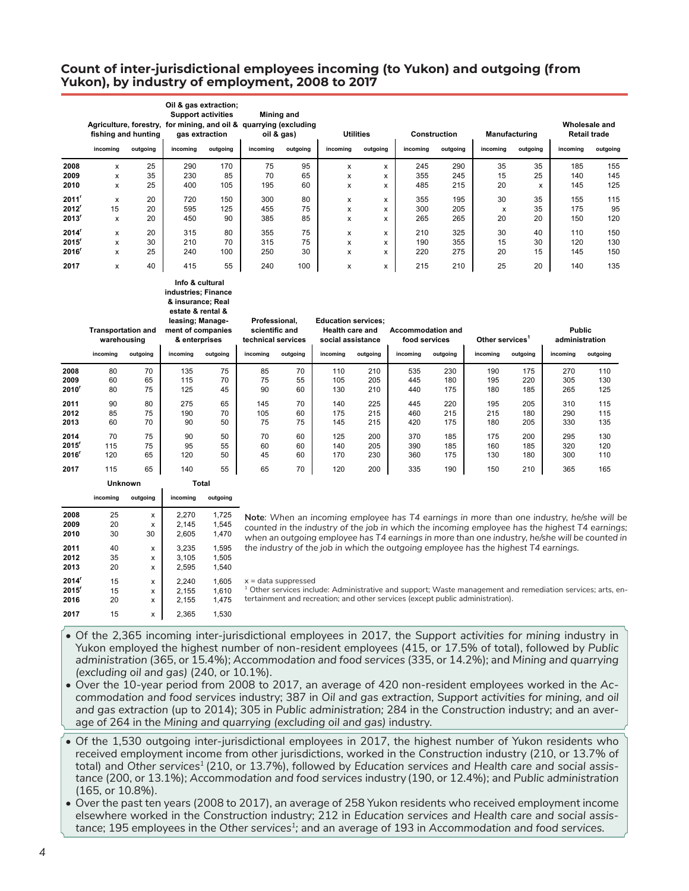## **Count of inter-jurisdictional employees incoming (to Yukon) and outgoing (from Yukon), by industry of employment, 2008 to 2017**

|       | fishing and hunting<br>incoming | outgoing | Oil & gas extraction;<br><b>Support activities</b><br>incoming | gas extraction<br>outgoing | Mining and<br>Agriculture, forestry, for mining, and oil & quarrying (excluding<br>oil & gas)<br>incoming | outgoing | <b>Utilities</b><br>incoming | outgoing | incoming | <b>Construction</b><br>outgoing | <b>Manufacturing</b><br>incoming | outgoing | Wholesale and<br><b>Retail trade</b><br>incoming | outgoing |
|-------|---------------------------------|----------|----------------------------------------------------------------|----------------------------|-----------------------------------------------------------------------------------------------------------|----------|------------------------------|----------|----------|---------------------------------|----------------------------------|----------|--------------------------------------------------|----------|
| 2008  | x                               | 25       | 290                                                            | 170                        | 75                                                                                                        | 95       | x                            | x        | 245      | 290                             | 35                               | 35       | 185                                              | 155      |
| 2009  | x                               | 35       | 230                                                            | 85                         | 70                                                                                                        | 65       | x                            | x        | 355      | 245                             | 15                               | 25       | 140                                              | 145      |
| 2010  | x                               | 25       | 400                                                            | 105                        | 195                                                                                                       | 60       | x                            | x        | 485      | 215                             | 20                               | x        | 145                                              | 125      |
|       |                                 |          |                                                                |                            |                                                                                                           |          |                              |          |          |                                 |                                  |          |                                                  |          |
| 2011' | x                               | 20       | 720                                                            | 150                        | 300                                                                                                       | 80       | x                            | x        | 355      | 195                             | 30                               | 35       | 155                                              | 115      |
| 2012  | 15                              | 20       | 595                                                            | 125                        | 455                                                                                                       | 75       | x                            | x        | 300      | 205                             | X                                | 35       | 175                                              | 95       |
| 2013' | X                               | 20       | 450                                                            | 90                         | 385                                                                                                       | 85       | x                            | x        | 265      | 265                             | 20                               | 20       | 150                                              | 120      |
| 2014  | x                               | 20       | 315                                                            | 80                         | 355                                                                                                       | 75       | x                            | x        | 210      | 325                             | 30                               | 40       | 110                                              | 150      |
| 2015' | X                               | 30       | 210                                                            | 70                         | 315                                                                                                       | 75       | x                            | x        | 190      | 355                             | 15                               | 30       | 120                                              | 130      |
| 2016  | X                               | 25       | 240                                                            | 100                        | 250                                                                                                       | 30       | x                            | x        | 220      | 275                             | 20                               | 15       | 145                                              | 150      |
|       |                                 |          |                                                                |                            |                                                                                                           |          |                              |          |          |                                 |                                  |          |                                                  |          |
| 2017  | x                               | 40       | 415                                                            | 55                         | 240                                                                                                       | 100      | x                            | x        | 215      | 210                             | 25                               | 20       | 140                                              | 135      |

#### **Info & cultural industries; Finance & insurance; Real estate & rental &**

|          | incoming | leasing; Manage-<br><b>Transportation and</b><br>ment of companies<br>warehousing<br>& enterprises<br>outgoing<br>outgoing<br>incoming |     |    | scientific and<br>incoming | Professional,<br>technical services<br>outgoing | <b>Education services:</b><br><b>Health care and</b><br>social assistance<br>incoming | outgoing | Accommodation and<br>food services<br>incoming | outgoing | Other services <sup>1</sup><br>incoming | outgoing | <b>Public</b><br>administration<br>incoming | outgoing |
|----------|----------|----------------------------------------------------------------------------------------------------------------------------------------|-----|----|----------------------------|-------------------------------------------------|---------------------------------------------------------------------------------------|----------|------------------------------------------------|----------|-----------------------------------------|----------|---------------------------------------------|----------|
| 2008     | 80       | 70                                                                                                                                     | 135 | 75 | 85                         | 70                                              | 110                                                                                   | 210      | 535                                            | 230      | 190                                     | 175      | 270                                         | 110      |
| 2009     | 60       | 65                                                                                                                                     | 115 | 70 | 75                         | 55                                              | 105                                                                                   | 205      | 445                                            | 180      | 195                                     | 220      | 305                                         | 130      |
| $2010^r$ | 80       | 75                                                                                                                                     | 125 | 45 | 90                         | 60                                              | 130                                                                                   | 210      | 440                                            | 175      | 180                                     | 185      | 265                                         | 125      |
| 2011     | 90       | 80                                                                                                                                     | 275 | 65 | 145                        | 70                                              | 140                                                                                   | 225      | 445                                            | 220      | 195                                     | 205      | 310                                         | 115      |
| 2012     | 85       | 75                                                                                                                                     | 190 | 70 | 105                        | 60                                              | 175                                                                                   | 215      | 460                                            | 215      | 215                                     | 180      | 290                                         | 115      |
| 2013     | 60       | 70                                                                                                                                     | 90  | 50 | 75                         | 75                                              | 145                                                                                   | 215      | 420                                            | 175      | 180                                     | 205      | 330                                         | 135      |
| 2014     | 70       | 75                                                                                                                                     | 90  | 50 | 70                         | 60                                              | 125                                                                                   | 200      | 370                                            | 185      | 175                                     | 200      | 295                                         | 130      |
| 2015'    | 115      | 75                                                                                                                                     | 95  | 55 | 60                         | 60                                              | 140                                                                                   | 205      | 390                                            | 185      | 160                                     | 185      | 320                                         | 120      |
| 2016'    | 120      | 65                                                                                                                                     | 120 | 50 | 45                         | 60                                              | 170                                                                                   | 230      | 360                                            | 175      | 130                                     | 180      | 300                                         | 110      |
| 2017     | 115      | 65                                                                                                                                     | 140 | 55 | 65                         | 70                                              | 120                                                                                   | 200      | 335                                            | 190      | 150                                     | 210      | 365                                         | 165      |
|          |          |                                                                                                                                        |     |    |                            |                                                 |                                                                                       |          |                                                |          |                                         |          |                                             |          |

|                   | <b>Unknown</b> |          | Total    |          |  |  |
|-------------------|----------------|----------|----------|----------|--|--|
|                   | incoming       | outgoing | incoming | outgoing |  |  |
| 2008              | 25             | X        | 2.270    | 1,725    |  |  |
| 2009              | 20             | x        | 2,145    | 1,545    |  |  |
| 2010              | 30             | 30       | 2.605    | 1.470    |  |  |
| 2011              | 40             | X        | 3,235    | 1,595    |  |  |
| 2012              | 35             | X        | 3.105    | 1.505    |  |  |
| 2013              | 20             | X        | 2,595    | 1.540    |  |  |
| $2014^r$          | 15             | X        | 2.240    | 1.605    |  |  |
| 2015 <sup>r</sup> | 15             | x        | 2,155    | 1,610    |  |  |
| 2016              | 20             | x        | 2.155    | 1.475    |  |  |
| 2017              | 15             | X        | 2.365    | 1.530    |  |  |

**Note***: When an incoming employee has T4 earnings in more than one industry, he/she will be counted in the industry of the job in which the incoming employee has the highest T4 earnings; when an outgoing employee has T4 earnings in more than one industry, he/she will be counted in the industry of the job in which the outgoing employee has the highest T4 earnings.*

 $x =$  data suppressed <sup>1</sup> Other services include: Administrative and support; Waste management and remediation services; arts, entertainment and recreation; and other services (except public administration).

- Of the 2,365 incoming inter-jurisdictional employees in 2017, the *Support activities for mining* industry in Yukon employed the highest number of non-resident employees (415, or 17.5% of total), followed by *Public administration* (365, or 15.4%); *Accommodation and food services* (335, or 14.2%); and *Mining and quarrying (excluding oil and gas)* (240, or 10.1%).
- Over the 10-year period from 2008 to 2017, an average of 420 non-resident employees worked in the *Accommodation and food services* industry; 387 in *Oil and gas extraction, Support activities for mining, and oil and gas extraction* (up to 2014); 305 in *Public administration;* 284 in the *Construction* industry; and an average of 264 in the *Mining and quarrying (excluding oil and gas)* industry.
- Of the 1,530 outgoing inter-jurisdictional employees in 2017, the highest number of Yukon residents who received employment income from other jurisdictions, worked in the *Construction* industry (210, or 13.7% of total) and *Other services1* (210, or 13.7%), followed by *Education services and Health care and social assistance* (200, or 13.1%); *Accommodation and food services* industry (190, or 12.4%); and *Public administration* (165, or 10.8%).
- Over the past ten years (2008 to 2017), an average of 258 Yukon residents who received employment income elsewhere worked in the *Construction* industry; 212 in *Education services and Health care and social assistance*; 195 employees in the *Other services1;* and an average of 193 in *Accommodation and food services.*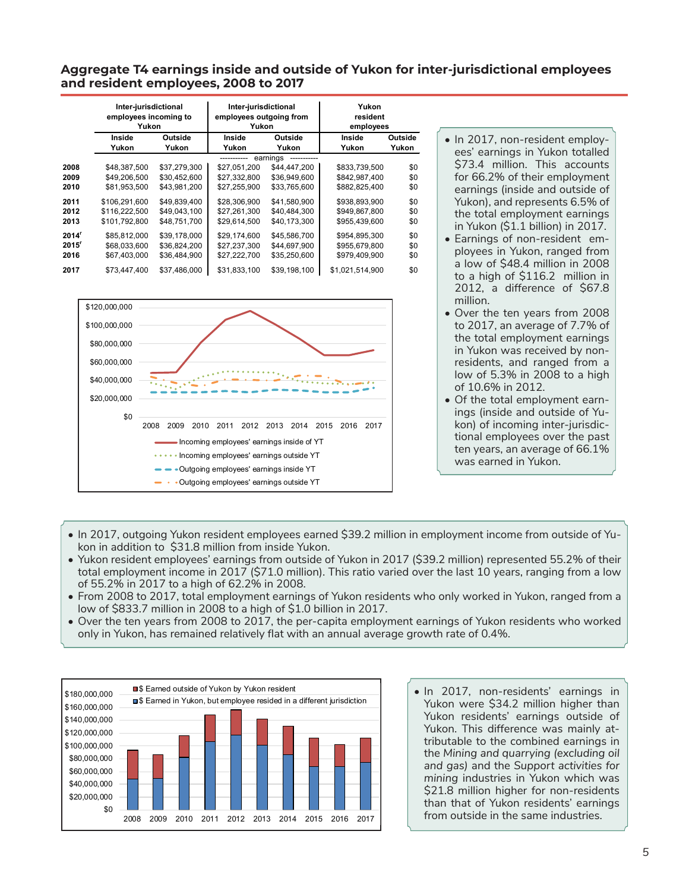### **Aggregate T4 earnings inside and outside of Yukon for inter-jurisdictional employees and resident employees, 2008 to 2017**

|                   | Inter-jurisdictional<br>employees incoming to<br>Yukon |              | Inter-jurisdictional<br>employees outgoing from<br>Yukon |              | Yukon<br>resident<br>employees |         |  |
|-------------------|--------------------------------------------------------|--------------|----------------------------------------------------------|--------------|--------------------------------|---------|--|
|                   | Inside                                                 | Outside      | Inside                                                   | Outside      | Inside                         | Outside |  |
|                   | Yukon                                                  | Yukon        | Yukon                                                    | Yukon        | Yukon                          | Yukon   |  |
|                   |                                                        |              |                                                          | earnings     |                                |         |  |
| 2008              | \$48,387,500                                           | \$37,279,300 | \$27.051.200                                             | \$44,447,200 | \$833,739,500                  | \$0     |  |
| 2009              | \$49,206,500                                           | \$30,452,600 | \$27.332.800                                             | \$36,949,600 | \$842.987.400                  | \$0     |  |
| 2010              | \$81,953,500                                           | \$43,981,200 | \$27,255,900                                             | \$33,765,600 | \$882,825,400                  | \$0     |  |
| 2011              | \$106,291,600                                          | \$49.839.400 | \$28,306,900                                             | \$41.580.900 | \$938.893.900                  | \$0     |  |
| 2012              | \$116,222,500                                          | \$49,043,100 | \$27,261,300                                             | \$40,484,300 | \$949,867,800                  | \$0     |  |
| 2013              | \$101.792.800                                          | \$48,751,700 | \$29,614,500                                             | \$40,173,300 | \$955,439,600                  | \$0     |  |
| 2014 <sup>r</sup> | \$85.812.000                                           | \$39,178,000 | \$29.174.600                                             | \$45,586,700 | \$954.895.300                  | \$0     |  |
| 2015 <sup>r</sup> | \$68,033,600                                           | \$36,824,200 | \$27,237,300                                             | \$44,697,900 | \$955,679,800                  | \$0     |  |
| 2016              | \$67,403,000                                           | \$36,484,900 | \$27,222,700                                             | \$35,250,600 | \$979,409,900                  | \$0     |  |
| 2017              | \$73,447,400                                           | \$37,486,000 | \$31,833,100                                             | \$39,198,100 | \$1,021,514,900                | \$0     |  |



- In 2017, non-resident employees' earnings in Yukon totalled \$73.4 million. This accounts for 66.2% of their employment earnings (inside and outside of Yukon), and represents 6.5% of the total employment earnings in Yukon (\$1.1 billion) in 2017.
- Earnings of non-resident employees in Yukon, ranged from a low of \$48.4 million in 2008 to a high of \$116.2 million in 2012, a difference of \$67.8 million.
- Over the ten years from 2008 to 2017, an average of 7.7% of the total employment earnings in Yukon was received by nonresidents, and ranged from a low of 5.3% in 2008 to a high of 10.6% in 2012.
- Of the total employment earnings (inside and outside of Yukon) of incoming inter-jurisdictional employees over the past ten years, an average of 66.1% was earned in Yukon.
- In 2017, outgoing Yukon resident employees earned \$39.2 million in employment income from outside of Yukon in addition to \$31.8 million from inside Yukon.
- Yukon resident employees' earnings from outside of Yukon in 2017 (\$39.2 million) represented 55.2% of their total employment income in 2017 (\$71.0 million). This ratio varied over the last 10 years, ranging from a low of 55.2% in 2017 to a high of 62.2% in 2008.
- From 2008 to 2017, total employment earnings of Yukon residents who only worked in Yukon, ranged from a low of \$833.7 million in 2008 to a high of \$1.0 billion in 2017.
- Over the ten years from 2008 to 2017, the per-capita employment earnings of Yukon residents who worked only in Yukon, has remained relatively flat with an annual average growth rate of 0.4%.



• In 2017, non-residents' earnings in Yukon were \$34.2 million higher than Yukon residents' earnings outside of Yukon. This difference was mainly attributable to the combined earnings in the *Mining and quarrying (excluding oil and gas)* and the *Support activities for mining* industries in Yukon which was \$21.8 million higher for non-residents than that of Yukon residents' earnings from outside in the same industries.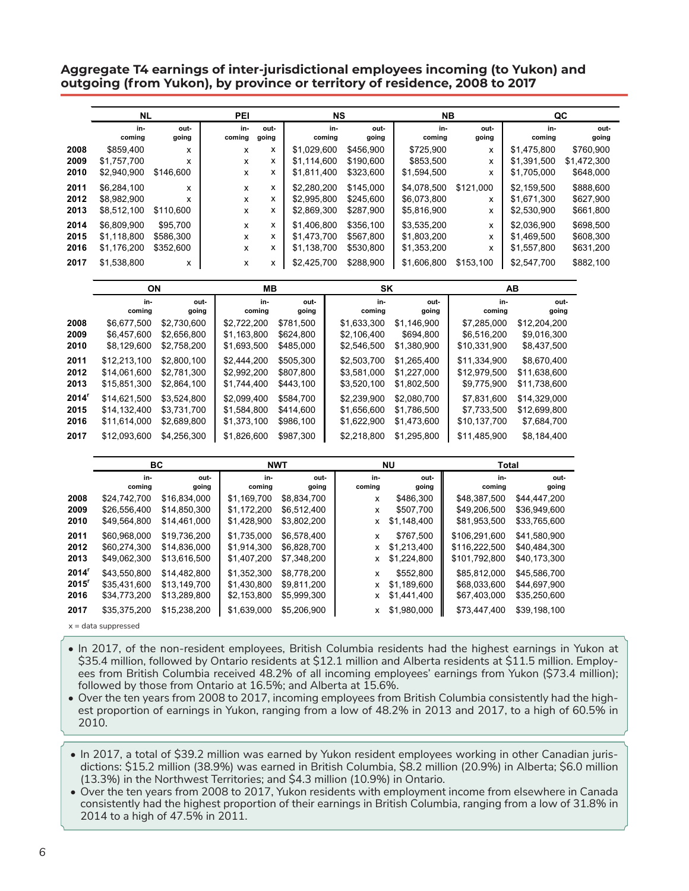**Aggregate T4 earnings of inter-jurisdictional employees incoming (to Yukon) and outgoing (from Yukon), by province or territory of residence, 2008 to 2017**

|      | <b>NL</b>     |               | PEI           |               |               | <b>NS</b> |               | NΒ            |               |               | QC            |
|------|---------------|---------------|---------------|---------------|---------------|-----------|---------------|---------------|---------------|---------------|---------------|
|      | in-<br>coming | out-<br>going | in-<br>coming | out-<br>going | coming        | in-       | out-<br>going | in-<br>coming | out-<br>going | in-<br>coming | out-<br>going |
| 2008 | \$859,400     | x             | x             | x             | \$1,029,600   |           | \$456,900     | \$725,900     | x             | \$1,475,800   | \$760,900     |
| 2009 | \$1,757,700   | x             | x             | x             | \$1,114,600   |           | \$190,600     | \$853,500     | х             | \$1,391,500   | \$1,472,300   |
| 2010 | \$2,940,900   | \$146,600     | x             | x             | \$1,811,400   |           | \$323,600     | \$1,594,500   | x             | \$1,705,000   | \$648,000     |
| 2011 | \$6,284,100   | x             | x             | x             | \$2,280,200   |           | \$145,000     | \$4,078,500   | \$121,000     | \$2,159,500   | \$888,600     |
| 2012 | \$8,982,900   | x             | x             | x             | \$2,995,800   |           | \$245,600     | \$6,073,800   | x             | \$1,671,300   | \$627,900     |
| 2013 | \$8,512,100   | \$110,600     | x             | x             | \$2,869,300   |           | \$287,900     | \$5,816,900   | x             | \$2,530,900   | \$661,800     |
| 2014 | \$6,809,900   | \$95,700      | x             | x             | \$1,406,800   |           | \$356,100     | \$3,535,200   | х             | \$2,036,900   | \$698,500     |
| 2015 | \$1,118,800   | \$586,300     | x             | x             | \$1,473,700   |           | \$567,800     | \$1,803,200   | x             | \$1,469,500   | \$608,300     |
| 2016 | \$1,176,200   | \$352,600     | x             | x             | \$1,138,700   |           | \$530,800     | \$1,353,200   | x             | \$1,557,800   | \$631,200     |
| 2017 | \$1,538,800   | x             | x             | x             | \$2,425,700   |           | \$288,900     | \$1,606,800   | \$153,100     | \$2,547,700   | \$882,100     |
|      |               | <b>ON</b>     |               | MВ            |               |           | SK            |               |               | AB            |               |
|      | in-<br>coming | out-<br>going |               | in-<br>coming | out-<br>going |           | in-<br>coming | out-<br>going | in-<br>coming | going         | out-          |
| 2008 | \$6,677,500   | \$2,730,600   | \$2,722,200   |               | \$781,500     |           | \$1,633,300   | \$1,146,900   | \$7,285,000   | \$12,204,200  |               |
| 2009 | \$6,457,600   | \$2,656,800   | \$1,163,800   |               | \$624,800     |           | \$2,106,400   | \$694,800     | \$6,516,200   | \$9,016,300   |               |

| 2009 | \$6.457.600  | \$2.656.800 | \$1.163.800 | \$624.800 | \$2,106,400 | \$694.800   | \$6,516,200  | \$9.016.300  |
|------|--------------|-------------|-------------|-----------|-------------|-------------|--------------|--------------|
| 2010 | \$8.129.600  | \$2,758,200 | \$1,693,500 | \$485,000 | \$2,546,500 | \$1,380,900 | \$10,331,900 | \$8,437,500  |
| 2011 | \$12,213,100 | \$2,800.100 | \$2.444.200 | \$505.300 | \$2,503,700 | \$1.265.400 | \$11,334,900 | \$8.670.400  |
| 2012 | \$14,061,600 | \$2.781.300 | \$2.992.200 | \$807.800 | \$3,581,000 | \$1,227,000 | \$12,979,500 | \$11,638,600 |
| 2013 | \$15,851,300 | \$2,864.100 | \$1.744.400 | \$443.100 | \$3,520,100 | \$1,802,500 | \$9,775,900  | \$11,738,600 |
| 2014 | \$14.621.500 | \$3.524.800 | \$2.099.400 | \$584.700 | \$2.239.900 | \$2,080,700 | \$7.831.600  | \$14.329.000 |
| 2015 | \$14,132,400 | \$3.731.700 | \$1,584,800 | \$414,600 | \$1,656,600 | \$1.786.500 | \$7,733,500  | \$12,699,800 |
| 2016 | \$11.614.000 | \$2,689,800 | \$1,373,100 | \$986,100 | \$1,622,900 | \$1.473.600 | \$10,137,700 | \$7,684,700  |
| 2017 | \$12,093,600 | \$4,256,300 | \$1.826,600 | \$987.300 | \$2,218,800 | \$1,295,800 | \$11,485,900 | \$8.184.400  |

|                                                |                                              | ВC                                           |                                           | <b>NWT</b>                                |               | ΝU                                      | Total                                        |                                              |
|------------------------------------------------|----------------------------------------------|----------------------------------------------|-------------------------------------------|-------------------------------------------|---------------|-----------------------------------------|----------------------------------------------|----------------------------------------------|
|                                                | in-<br>coming                                | out-<br>going                                | in-<br>coming                             | out-<br>going                             | in-<br>coming | out-<br>going                           | in-<br>coming                                | out-<br>going                                |
| 2008                                           | \$24,742,700                                 | \$16.834.000                                 | \$1,169,700                               | \$8.834.700                               | x             | \$486,300                               | \$48.387.500                                 | \$44.447.200                                 |
| 2009                                           | \$26,556,400                                 | \$14,850,300                                 | \$1,172,200                               | \$6,512,400                               | X             | \$507,700                               | \$49,206,500                                 | \$36,949,600                                 |
| 2010                                           | \$49,564,800                                 | \$14,461,000                                 | \$1,428,900                               | \$3,802,200                               | <b>X</b>      | \$1,148,400                             | \$81,953,500                                 | \$33,765,600                                 |
| 2011<br>2012                                   | \$60,968,000<br>\$60,274,300                 | \$19.736.200<br>\$14,836,000                 | \$1,735,000<br>\$1,914,300                | \$6,578,400<br>\$6,828,700                | X<br>x        | \$767,500<br>\$1,213,400                | \$106,291,600<br>\$116,222,500               | \$41.580.900<br>\$40,484,300                 |
| 2013                                           | \$49,062,300                                 | \$13,616,500                                 | \$1,407,200                               | \$7,348,200                               | x             | \$1,224,800                             | \$101,792,800                                | \$40,173,300                                 |
| 2014 <sup>r</sup><br>2015 <sup>r</sup><br>2016 | \$43.550.800<br>\$35,431,600<br>\$34,773,200 | \$14,482,800<br>\$13,149,700<br>\$13,289,800 | \$1,352,300<br>\$1,430,800<br>\$2,153,800 | \$8,778,200<br>\$9,811,200<br>\$5,999,300 | x<br>x<br>x   | \$552,800<br>\$1,189,600<br>\$1,441,400 | \$85.812.000<br>\$68,033,600<br>\$67,403,000 | \$45.586.700<br>\$44,697,900<br>\$35,250,600 |
| 2017                                           | \$35,375,200                                 | \$15,238,200                                 | \$1,639,000                               | \$5,206,900                               | x             | \$1,980,000                             | \$73,447,400                                 | \$39,198,100                                 |

x = data suppressed

• In 2017, of the non-resident employees, British Columbia residents had the highest earnings in Yukon at \$35.4 million, followed by Ontario residents at \$12.1 million and Alberta residents at \$11.5 million. Employees from British Columbia received 48.2% of all incoming employees' earnings from Yukon (\$73.4 million); followed by those from Ontario at 16.5%; and Alberta at 15.6%.

- Over the ten years from 2008 to 2017, incoming employees from British Columbia consistently had the highest proportion of earnings in Yukon, ranging from a low of 48.2% in 2013 and 2017, to a high of 60.5% in 2010.
- In 2017, a total of \$39.2 million was earned by Yukon resident employees working in other Canadian jurisdictions: \$15.2 million (38.9%) was earned in British Columbia, \$8.2 million (20.9%) in Alberta; \$6.0 million (13.3%) in the Northwest Territories; and \$4.3 million (10.9%) in Ontario.
- Over the ten years from 2008 to 2017, Yukon residents with employment income from elsewhere in Canada consistently had the highest proportion of their earnings in British Columbia, ranging from a low of 31.8% in 2014 to a high of 47.5% in 2011.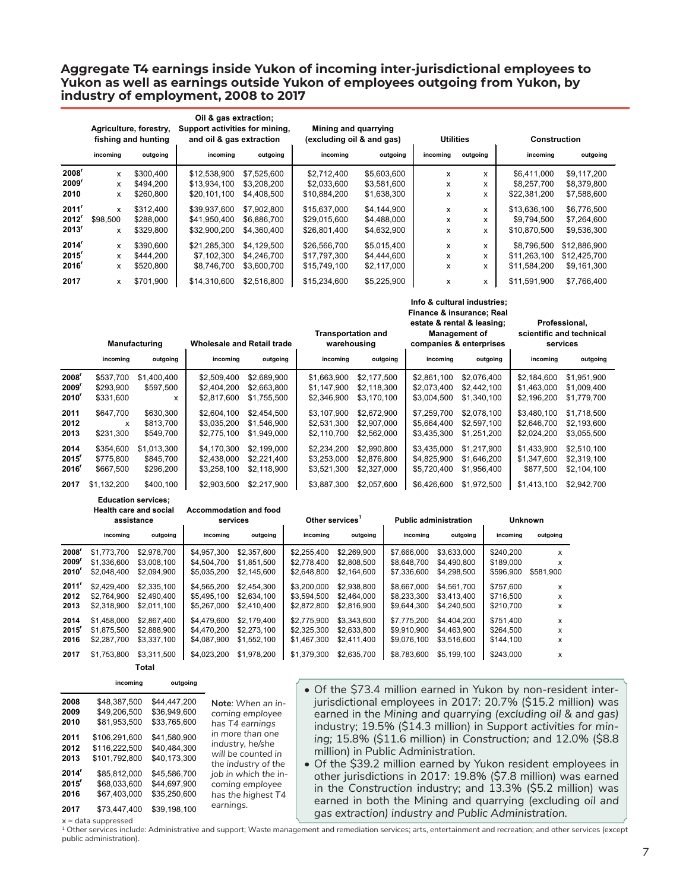### **Aggregate T4 earnings inside Yukon of incoming inter-jurisdictional employees to Yukon as well as earnings outside Yukon of employees outgoing from Yukon, by industry of employment, 2008 to 2017**

|                     | Agriculture, forestry,<br>fishing and hunting<br>incoming<br>outgoing |           | Oil & gas extraction;<br>Support activities for mining,<br>and oil & gas extraction<br>incoming | outgoing    | Mining and quarrying<br>(excluding oil & and gas)<br>incoming | <b>Utilities</b><br>incoming | outgoing | <b>Construction</b><br>incoming | outgoing     |              |
|---------------------|-----------------------------------------------------------------------|-----------|-------------------------------------------------------------------------------------------------|-------------|---------------------------------------------------------------|------------------------------|----------|---------------------------------|--------------|--------------|
|                     |                                                                       |           |                                                                                                 |             |                                                               | outgoing                     |          |                                 |              |              |
| $2008^r$            | x                                                                     | \$300.400 | \$12.538.900                                                                                    | \$7,525,600 | \$2.712.400                                                   | \$5,603,600                  | x        | x                               | \$6,411,000  | \$9.117.200  |
| 2009                | x                                                                     | \$494.200 | \$13,934,100                                                                                    | \$3,208,200 | \$2,033,600                                                   | \$3,581,600                  | x        | x                               | \$8,257,700  | \$8,379,800  |
| 2010                | x                                                                     | \$260,800 | \$20,101,100                                                                                    | \$4,408,500 | \$10,884,200                                                  | \$1,638,300                  | x        | x                               | \$22,381,200 | \$7,588,600  |
| 2011'               | x                                                                     | \$312,400 | \$39.937.600                                                                                    | \$7.902.800 | \$15,637,000                                                  | \$4,144,900                  | x        | x                               | \$13.636.100 | \$6.776.500  |
| 2012                | \$98,500                                                              | \$288.000 | \$41,950,400                                                                                    | \$6,886,700 | \$29,015,600                                                  | \$4,488,000                  | x        | x                               | \$9,794,500  | \$7,264,600  |
| $2013$ <sup>r</sup> | x                                                                     | \$329.800 | \$32,900,200                                                                                    | \$4,360,400 | \$26,801,400                                                  | \$4,632,900                  | x        | x                               | \$10,870,500 | \$9,536,300  |
| 2014                | x                                                                     | \$390,600 | \$21,285,300                                                                                    | \$4,129,500 | \$26,566,700                                                  | \$5,015,400                  | x        | x                               | \$8,796,500  | \$12,886,900 |
| $2015$ <sup>r</sup> | x                                                                     | \$444.200 | \$7,102,300                                                                                     | \$4,246,700 | \$17,797,300                                                  | \$4,444,600                  | x        | x                               | \$11,263,100 | \$12,425,700 |
| 2016                | x                                                                     | \$520,800 | \$8,746,700                                                                                     | \$3,600,700 | \$15,749,100                                                  | \$2,117,000                  | x        | x                               | \$11,584,200 | \$9,161,300  |
| 2017                | x                                                                     | \$701,900 | \$14,310,600                                                                                    | \$2,516,800 | \$15,234,600                                                  | \$5,225,900                  | x        | x                               | \$11,591,900 | \$7.766.400  |

|                     | <b>Manufacturing</b> |             | <b>Wholesale and Retail trade</b> |             | <b>Transportation and</b><br>warehousing |             | estate & rental & leasing;<br><b>Management of</b><br>companies & enterprises |             | Professional,<br>scientific and technical<br>services |             |
|---------------------|----------------------|-------------|-----------------------------------|-------------|------------------------------------------|-------------|-------------------------------------------------------------------------------|-------------|-------------------------------------------------------|-------------|
|                     | incoming             | outgoing    | incoming                          | outgoing    | incoming                                 | outgoing    | incoming                                                                      | outgoing    | incoming                                              | outgoing    |
| 2008 <sup>r</sup>   | \$537,700            | \$1,400,400 | \$2,509,400                       | \$2.689.900 | \$1.663.900                              | \$2,177,500 | \$2.861.100                                                                   | \$2,076,400 | \$2.184.600                                           | \$1,951,900 |
| 2009'               | \$293,900            | \$597,500   | \$2,404,200                       | \$2,663,800 | \$1,147,900                              | \$2,118,300 | \$2,073,400                                                                   | \$2,442,100 | \$1,463,000                                           | \$1,009,400 |
| 2010                | \$331,600            | x           | \$2,817,600                       | \$1,755,500 | \$2,346,900                              | \$3.170.100 | \$3,004,500                                                                   | \$1,340,100 | \$2.196.200                                           | \$1,779,700 |
| 2011                | \$647.700            | \$630,300   | \$2,604.100                       | \$2,454,500 | \$3.107.900                              | \$2,672,900 | \$7,259,700                                                                   | \$2,078,100 | \$3.480.100                                           | \$1,718,500 |
| 2012                | x                    | \$813,700   | \$3.035.200                       | \$1.546.900 | \$2.531.300                              | \$2,907,000 | \$5.664.400                                                                   | \$2,597,100 | \$2.646.700                                           | \$2,193,600 |
| 2013                | \$231,300            | \$549,700   | \$2,775,100                       | \$1,949,000 | \$2,110,700                              | \$2,562,000 | \$3,435,300                                                                   | \$1,251,200 | \$2,024,200                                           | \$3,055,500 |
| 2014                | \$354,600            | \$1.013.300 | \$4,170,300                       | \$2,199,000 | \$2.234.200                              | \$2,990,800 | \$3.435.000                                                                   | \$1.217.900 | \$1,433,900                                           | \$2,510.100 |
| $2015$ <sup>r</sup> | \$775,800            | \$845.700   | \$2,438,000                       | \$2,221,400 | \$3,253,000                              | \$2,876,800 | \$4,825,900                                                                   | \$1,646,200 | \$1,347,600                                           | \$2,319,100 |
| 2016'               | \$667,500            | \$296,200   | \$3,258,100                       | \$2.118.900 | \$3,521,300                              | \$2,327,000 | \$5,720,400                                                                   | \$1,956,400 | \$877.500                                             | \$2,104,100 |
| 2017                | \$1,132,200          | \$400,100   | \$2,903,500                       | \$2,217,900 | \$3,887,300                              | \$2,057,600 | \$6,426,600                                                                   | \$1,972,500 | \$1,413,100                                           | \$2,942,700 |

**Education services;** 

**Health care and social Accommodation and food** 

|                   | assistance  |             | services    |             | Other services <sup>1</sup> |             | <b>Public administration</b> |             | <b>Unknown</b> |           |
|-------------------|-------------|-------------|-------------|-------------|-----------------------------|-------------|------------------------------|-------------|----------------|-----------|
|                   | incomina    | outgoing    | incomina    | outgoing    | incomina                    | outgoing    | incomina                     | outgoing    | incomina       | outgoing  |
| 2008′             | \$1,773,700 | \$2,978,700 | \$4.957.300 | \$2,357,600 | \$2.255.400                 | \$2,269,900 | \$7,666,000                  | \$3.633.000 | \$240.200      | x         |
| 2009′             | \$1.336.600 | \$3,008.100 | \$4,504,700 | \$1,851,500 | \$2,778,400                 | \$2,808,500 | \$8,648,700                  | \$4,490,800 | \$189,000      | x         |
| 2010'             | \$2,048,400 | \$2,094,900 | \$5,035,200 | \$2,145,600 | \$2,648,800                 | \$2,164,600 | \$7,336,600                  | \$4,298,500 | \$596,900      | \$581,900 |
| 2011 <sup>r</sup> | \$2.429.400 | \$2,335,100 | \$4,565,200 | \$2,454,300 | \$3,200,000                 | \$2.938.800 | \$8.667.000                  | \$4.561.700 | \$757,600      | X         |
| 2012              | \$2,764,900 | \$2,490,400 | \$5,495,100 | \$2.634.100 | \$3.594.500                 | \$2,464,000 | \$8,233,300                  | \$3.413.400 | \$716.500      | x         |
| 2013              | \$2,318,900 | \$2,011.100 | \$5,267,000 | \$2,410,400 | \$2,872,800                 | \$2,816,900 | \$9,644,300                  | \$4,240,500 | \$210.700      | x         |
| 2014              | \$1.458.000 | \$2,867,400 | \$4,479,600 | \$2.179.400 | \$2,775,900                 | \$3.343.600 | \$7.775.200                  | \$4,404,200 | \$751,400      | X         |
| 2015'             | \$1.875.500 | \$2,888,900 | \$4,470,200 | \$2,273,100 | \$2,325,300                 | \$2.633.800 | \$9.910.900                  | \$4,463,900 | \$264.500      | X         |
| 2016              | \$2,287,700 | \$3,337,100 | \$4.087.900 | \$1,552,100 | \$1,467,300                 | \$2.411.400 | \$9,076,100                  | \$3.516.600 | \$144.100      | X         |
| 2017              | \$1.753.800 | \$3.311.500 | \$4.023.200 | \$1.978.200 | \$1.379.300                 | \$2.635.700 | \$8.783.600                  | \$5.199.100 | \$243,000      | X         |

**incoming outgoing Total**

| 2008<br>2009<br>2010 | \$48.387.500<br>\$49,206.500<br>\$81.953.500 | \$44,447,200<br>\$36,949,600<br>\$33.765.600 | Note: When an in-<br>coming employee<br>has T4 earnings<br>in more than one |
|----------------------|----------------------------------------------|----------------------------------------------|-----------------------------------------------------------------------------|
| 2011                 | \$106.291.600                                | \$41.580.900                                 | industry, he/she                                                            |
| 2012                 | \$116.222.500                                | \$40.484.300                                 | will be counted in                                                          |
| 2013                 | \$101.792.800                                | \$40.173.300                                 | the industry of the                                                         |
| 2014'                | \$85.812.000                                 | \$45.586.700                                 | job in which the in-                                                        |
| $2015^r$             | \$68.033.600                                 | \$44,697,900                                 | coming employee                                                             |
| 2016                 | \$67.403.000                                 | \$35.250.600                                 | has the highest T4                                                          |
| 2017                 | \$73.447.400                                 | \$39.198.100                                 | earnings.                                                                   |

• Of the \$73.4 million earned in Yukon by non-resident interjurisdictional employees in 2017: 20.7% (\$15.2 million) was earned in the *Mining and quarrying (excluding oil & and gas)* industry; 19.5% (\$14.3 million) in *Support activities for mining;* 15.8% (\$11.6 million) in *Construction;* and 12.0% (\$8.8 million) in Public Administration.

 **Info & cultural industries; Finance & insurance; Real** 

• Of the \$39.2 million earned by Yukon resident employees in other jurisdictions in 2017: 19.8% (\$7.8 million) was earned in the *Construction* industry; and 13.3% (\$5.2 million) was earned in both the Mining and quarrying (excluding *oil and gas extraction) industry and Public Administration.*

 $x =$  data suppressed

<sup>1</sup> Other services include: Administrative and support; Waste management and remediation services; arts, entertainment and recreation; and other services (except public administration).